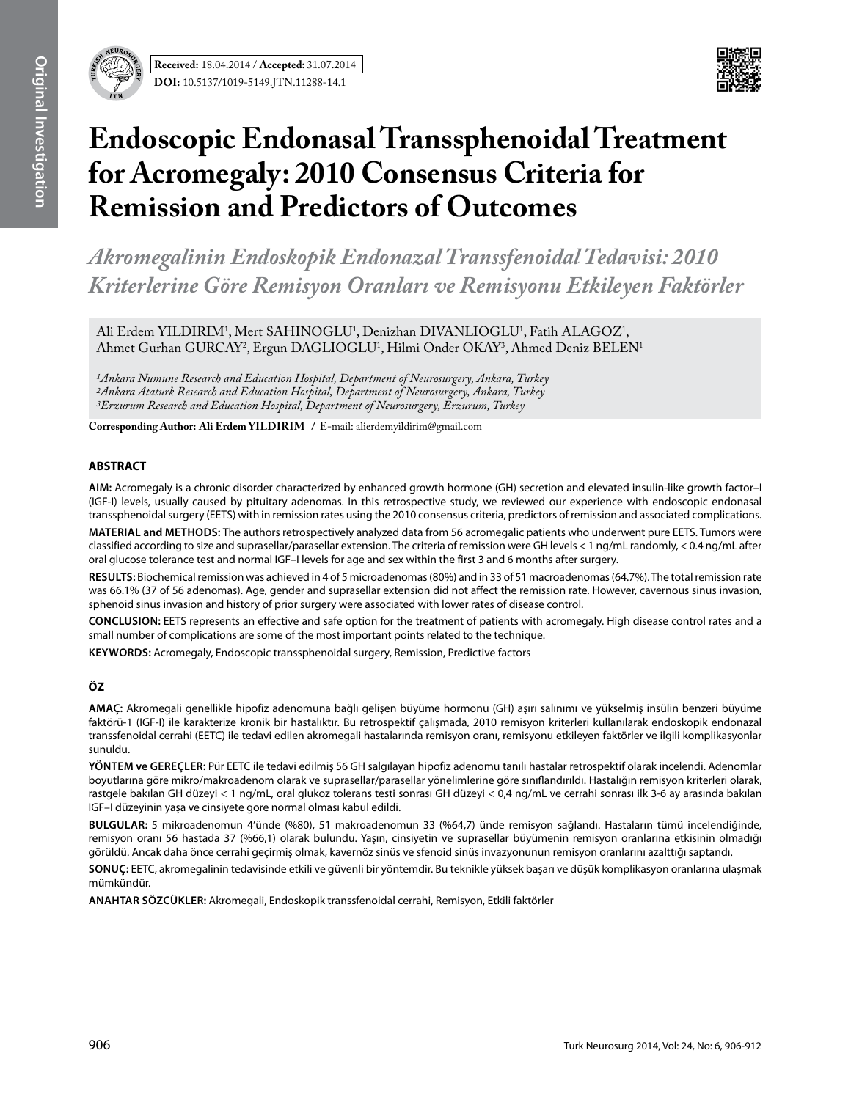

# **Endoscopic Endonasal Transsphenoidal Treatment for Acromegaly: 2010 Consensus Criteria for Remission and Predictors of Outcomes**

*Akromegalinin Endoskopik Endonazal Transsfenoidal Tedavisi: 2010 Kriterlerine Göre Remisyon Oranları ve Remisyonu Etkileyen Faktörler*

Ali Erdem YILDIRIM<sup>1</sup>, Mert SAHINOGLU<sup>1</sup>, Denizhan DIVANLIOGLU<sup>1</sup>, Fatih ALAGOZ<sup>1</sup>, Ahmet Gurhan GURCAY<sup>2</sup>, Ergun DAGLIOGLU<sup>1</sup>, Hilmi Onder OKAY<sup>3</sup>, Ahmed Deniz BELEN<sup>1</sup>

*1Ankara Numune Research and Education Hospital, Department of Neurosurgery, Ankara, Turkey 2Ankara Ataturk Research and Education Hospital, Department of Neurosurgery, Ankara, Turkey 3Erzurum Research and Education Hospital, Department of Neurosurgery, Erzurum, Turkey*

**Corresponding Author: Ali Erdem YILDIRIM / E-mail: alierdemyildirim@gmail.com** 

# **ABSTRACT**

**AIm:** Acromegaly is a chronic disorder characterized by enhanced growth hormone (GH) secretion and elevated insulin-like growth factor–I (IGF-I) levels, usually caused by pituitary adenomas. In this retrospective study, we reviewed our experience with endoscopic endonasal transsphenoidal surgery (EETS) with in remission rates using the 2010 consensus criteria, predictors of remission and associated complications.

**MaterIal and Methods:** The authors retrospectively analyzed data from 56 acromegalic patients who underwent pure EETS. Tumors were classified according to size and suprasellar/parasellar extension. The criteria of remission were GH levels < 1 ng/mL randomly, < 0.4 ng/mL after oral glucose tolerance test and normal IGF–I levels for age and sex within the first 3 and 6 months after surgery.

**Results:** Biochemical remission was achieved in 4 of 5 microadenomas (80%) and in 33 of 51 macroadenomas (64.7%). The total remission rate was 66.1% (37 of 56 adenomas). Age, gender and suprasellar extension did not affect the remission rate. However, cavernous sinus invasion, sphenoid sinus invasion and history of prior surgery were associated with lower rates of disease control.

**ConclusIon:** EETS represents an effective and safe option for the treatment of patients with acromegaly. High disease control rates and a small number of complications are some of the most important points related to the technique.

**Keywords:** Acromegaly, Endoscopic transsphenoidal surgery, Remission, Predictive factors

# **ÖZ**

**AMAÇ:** Akromegali genellikle hipofiz adenomuna bağlı gelişen büyüme hormonu (GH) aşırı salınımı ve yükselmiş insülin benzeri büyüme faktörü-1 (IGF-I) ile karakterize kronik bir hastalıktır. Bu retrospektif çalışmada, 2010 remisyon kriterleri kullanılarak endoskopik endonazal transsfenoidal cerrahi (EETC) ile tedavi edilen akromegali hastalarında remisyon oranı, remisyonu etkileyen faktörler ve ilgili komplikasyonlar sunuldu.

**YÖNTEM ve GEREÇLER:** Pür EETC ile tedavi edilmiş 56 GH salgılayan hipofiz adenomu tanılı hastalar retrospektif olarak incelendi. Adenomlar boyutlarına göre mikro/makroadenom olarak ve suprasellar/parasellar yönelimlerine göre sınıflandırıldı. Hastalığın remisyon kriterleri olarak, rastgele bakılan GH düzeyi < 1 ng/mL, oral glukoz tolerans testi sonrası GH düzeyi < 0,4 ng/mL ve cerrahi sonrası ilk 3-6 ay arasında bakılan IGF–I düzeyinin yaşa ve cinsiyete gore normal olması kabul edildi.

**BULGULAR:** 5 mikroadenomun 4'ünde (%80), 51 makroadenomun 33 (%64,7) ünde remisyon sağlandı. Hastaların tümü incelendiğinde, remisyon oranı 56 hastada 37 (%66,1) olarak bulundu. Yaşın, cinsiyetin ve suprasellar büyümenin remisyon oranlarına etkisinin olmadığı görüldü. Ancak daha önce cerrahi geçirmiş olmak, kavernöz sinüs ve sfenoid sinüs invazyonunun remisyon oranlarını azalttığı saptandı.

**SONUÇ:** EETC, akromegalinin tedavisinde etkili ve güvenli bir yöntemdir. Bu teknikle yüksek başarı ve düşük komplikasyon oranlarına ulaşmak mümkündür.

**ANAHTAR SÖZCÜKLER:** Akromegali, Endoskopik transsfenoidal cerrahi, Remisyon, Etkili faktörler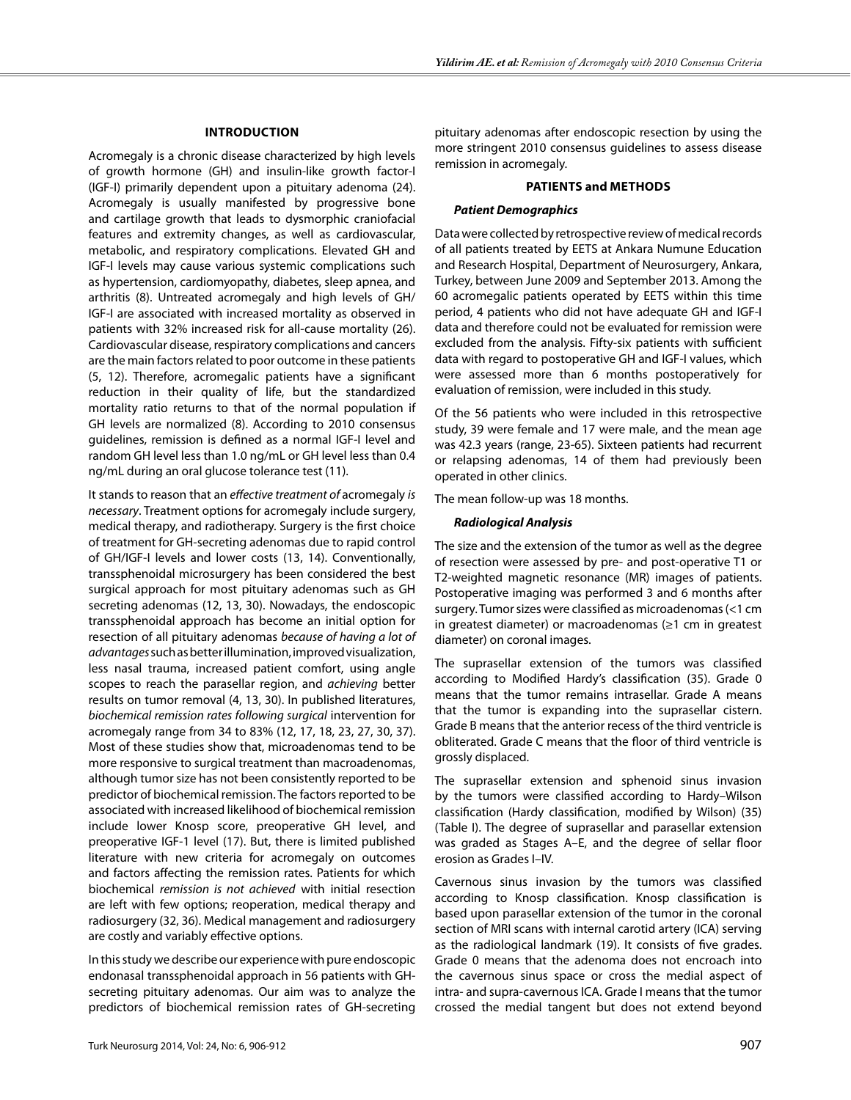# **Introduction**

Acromegaly is a chronic disease characterized by high levels of growth hormone (GH) and insulin-like growth factor-I (IGF-I) primarily dependent upon a pituitary adenoma (24). Acromegaly is usually manifested by progressive bone and cartilage growth that leads to dysmorphic craniofacial features and extremity changes, as well as cardiovascular, metabolic, and respiratory complications. Elevated GH and IGF-I levels may cause various systemic complications such as hypertension, cardiomyopathy, diabetes, sleep apnea, and arthritis (8). Untreated acromegaly and high levels of GH/ IGF-I are associated with increased mortality as observed in patients with 32% increased risk for all-cause mortality (26). Cardiovascular disease, respiratory complications and cancers are the main factors related to poor outcome in these patients (5, 12). Therefore, acromegalic patients have a significant reduction in their quality of life, but the standardized mortality ratio returns to that of the normal population if GH levels are normalized (8). According to 2010 consensus guidelines, remission is defined as a normal IGF-I level and random GH level less than 1.0 ng/mL or GH level less than 0.4 ng/mL during an oral glucose tolerance test (11).

It stands to reason that an *effective treatment of* acromegaly *is necessary*. Treatment options for acromegaly include surgery, medical therapy, and radiotherapy. Surgery is the first choice of treatment for GH-secreting adenomas due to rapid control of GH/IGF-I levels and lower costs (13, 14). Conventionally, transsphenoidal microsurgery has been considered the best surgical approach for most pituitary adenomas such as GH secreting adenomas (12, 13, 30). Nowadays, the endoscopic transsphenoidal approach has become an initial option for resection of all pituitary adenomas *because of having a lot of advantages* such as better illumination, improved visualization, less nasal trauma, increased patient comfort, using angle scopes to reach the parasellar region, and *achieving* better results on tumor removal (4, 13, 30). In published literatures, *biochemical remission rates following surgical* intervention for acromegaly range from 34 to 83% (12, 17, 18, 23, 27, 30, 37). Most of these studies show that, microadenomas tend to be more responsive to surgical treatment than macroadenomas, although tumor size has not been consistently reported to be predictor of biochemical remission. The factors reported to be associated with increased likelihood of biochemical remission include lower Knosp score, preoperative GH level, and preoperative IGF-1 level (17). But, there is limited published literature with new criteria for acromegaly on outcomes and factors affecting the remission rates. Patients for which biochemical *remission is not achieved* with initial resection are left with few options; reoperation, medical therapy and radiosurgery (32, 36). Medical management and radiosurgery are costly and variably effective options.

In this study we describe our experience with pure endoscopic endonasal transsphenoidal approach in 56 patients with GHsecreting pituitary adenomas. Our aim was to analyze the predictors of biochemical remission rates of GH-secreting

pituitary adenomas after endoscopic resection by using the more stringent 2010 consensus guidelines to assess disease remission in acromegaly.

#### **Patients and Methods**

#### *Patient Demographics*

Data were collected by retrospective review of medical records of all patients treated by EETS at Ankara Numune Education and Research Hospital, Department of Neurosurgery, Ankara, Turkey, between June 2009 and September 2013. Among the 60 acromegalic patients operated by EETS within this time period, 4 patients who did not have adequate GH and IGF-I data and therefore could not be evaluated for remission were excluded from the analysis. Fifty-six patients with sufficient data with regard to postoperative GH and IGF-I values, which were assessed more than 6 months postoperatively for evaluation of remission, were included in this study.

Of the 56 patients who were included in this retrospective study, 39 were female and 17 were male, and the mean age was 42.3 years (range, 23-65). Sixteen patients had recurrent or relapsing adenomas, 14 of them had previously been operated in other clinics.

The mean follow-up was 18 months.

## *Radiological Analysis*

The size and the extension of the tumor as well as the degree of resection were assessed by pre- and post-operative T1 or T2-weighted magnetic resonance (MR) images of patients. Postoperative imaging was performed 3 and 6 months after surgery. Tumor sizes were classified as microadenomas (<1 cm in greatest diameter) or macroadenomas (≥1 cm in greatest diameter) on coronal images.

The suprasellar extension of the tumors was classified according to Modified Hardy's classification (35). Grade 0 means that the tumor remains intrasellar. Grade A means that the tumor is expanding into the suprasellar cistern. Grade B means that the anterior recess of the third ventricle is obliterated. Grade C means that the floor of third ventricle is grossly displaced.

The suprasellar extension and sphenoid sinus invasion by the tumors were classified according to Hardy–Wilson classification (Hardy classification, modified by Wilson) (35) (Table I). The degree of suprasellar and parasellar extension was graded as Stages A–E, and the degree of sellar floor erosion as Grades I–IV.

Cavernous sinus invasion by the tumors was classified according to Knosp classification. Knosp classification is based upon parasellar extension of the tumor in the coronal section of MRI scans with internal carotid artery (ICA) serving as the radiological landmark (19). It consists of five grades. Grade 0 means that the adenoma does not encroach into the cavernous sinus space or cross the medial aspect of intra- and supra-cavernous ICA. Grade I means that the tumor crossed the medial tangent but does not extend beyond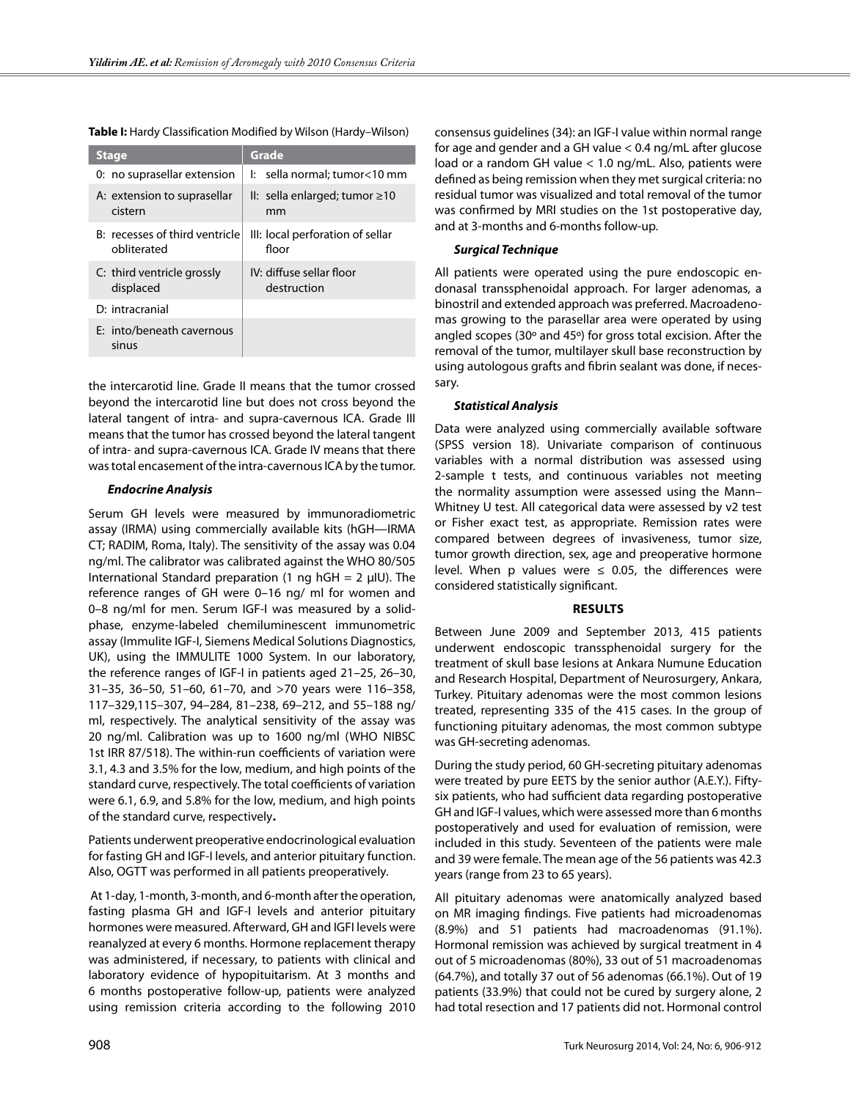| Grade                                                                       |
|-----------------------------------------------------------------------------|
| I: sella normal; tumor<10 mm                                                |
| II: sella enlarged; tumor $\geq 10$<br>mm                                   |
| B: recesses of third ventricle<br>III: local perforation of sellar<br>floor |
| IV: diffuse sellar floor<br>destruction                                     |
|                                                                             |
|                                                                             |
|                                                                             |

**Table I:** Hardy Classification Modified by Wilson (Hardy–Wilson)

the intercarotid line. Grade II means that the tumor crossed beyond the intercarotid line but does not cross beyond the lateral tangent of intra- and supra-cavernous ICA. Grade III means that the tumor has crossed beyond the lateral tangent of intra- and supra-cavernous ICA. Grade IV means that there was total encasement of the intra-cavernous ICA by the tumor.

## *Endocrine Analysis*

Serum GH levels were measured by immunoradiometric assay (IRMA) using commercially available kits (hGH—IRMA CT; RADIM, Roma, Italy). The sensitivity of the assay was 0.04 ng/ml. The calibrator was calibrated against the WHO 80/505 International Standard preparation (1 ng  $hGH = 2 \mu U$ ). The reference ranges of GH were 0–16 ng/ ml for women and 0–8 ng/ml for men. Serum IGF-I was measured by a solidphase, enzyme-labeled chemiluminescent immunometric assay (Immulite IGF-I, Siemens Medical Solutions Diagnostics, UK), using the IMMULITE 1000 System. In our laboratory, the reference ranges of IGF-I in patients aged 21–25, 26–30, 31–35, 36–50, 51–60, 61–70, and >70 years were 116–358, 117–329,115–307, 94–284, 81–238, 69–212, and 55–188 ng/ ml, respectively. The analytical sensitivity of the assay was 20 ng/ml. Calibration was up to 1600 ng/ml (WHO NIBSC 1st IRR 87/518). The within-run coefficients of variation were 3.1, 4.3 and 3.5% for the low, medium, and high points of the standard curve, respectively. The total coefficients of variation were 6.1, 6.9, and 5.8% for the low, medium, and high points of the standard curve, respectively**.**

Patients underwent preoperative endocrinological evaluation for fasting GH and IGF-I levels, and anterior pituitary function. Also, OGTT was performed in all patients preoperatively.

 At 1-day, 1-month, 3-month, and 6-month after the operation, fasting plasma GH and IGF-I levels and anterior pituitary hormones were measured. Afterward, GH and IGFI levels were reanalyzed at every 6 months. Hormone replacement therapy was administered, if necessary, to patients with clinical and laboratory evidence of hypopituitarism. At 3 months and 6 months postoperative follow-up, patients were analyzed using remission criteria according to the following 2010

consensus guidelines (34): an IGF-I value within normal range for age and gender and a GH value < 0.4 ng/mL after glucose load or a random GH value < 1.0 ng/mL. Also, patients were defined as being remission when they met surgical criteria: no residual tumor was visualized and total removal of the tumor was confirmed by MRI studies on the 1st postoperative day, and at 3-months and 6-months follow-up.

## *Surgical Technique*

All patients were operated using the pure endoscopic endonasal transsphenoidal approach. For larger adenomas, a binostril and extended approach was preferred. Macroadenomas growing to the parasellar area were operated by using angled scopes (30º and 45º) for gross total excision. After the removal of the tumor, multilayer skull base reconstruction by using autologous grafts and fibrin sealant was done, if necessary.

## *Statistical Analysis*

Data were analyzed using commercially available software (SPSS version 18). Univariate comparison of continuous variables with a normal distribution was assessed using 2-sample t tests, and continuous variables not meeting the normality assumption were assessed using the Mann– Whitney U test. All categorical data were assessed by v2 test or Fisher exact test, as appropriate. Remission rates were compared between degrees of invasiveness, tumor size, tumor growth direction, sex, age and preoperative hormone level. When p values were  $\leq$  0.05, the differences were considered statistically significant.

## **Results**

Between June 2009 and September 2013, 415 patients underwent endoscopic transsphenoidal surgery for the treatment of skull base lesions at Ankara Numune Education and Research Hospital, Department of Neurosurgery, Ankara, Turkey. Pituitary adenomas were the most common lesions treated, representing 335 of the 415 cases. In the group of functioning pituitary adenomas, the most common subtype was GH-secreting adenomas.

During the study period, 60 GH-secreting pituitary adenomas were treated by pure EETS by the senior author (A.E.Y.). Fiftysix patients, who had sufficient data regarding postoperative GH and IGF-I values, which were assessed more than 6 months postoperatively and used for evaluation of remission, were included in this study. Seventeen of the patients were male and 39 were female. The mean age of the 56 patients was 42.3 years (range from 23 to 65 years).

All pituitary adenomas were anatomically analyzed based on MR imaging findings. Five patients had microadenomas (8.9%) and 51 patients had macroadenomas (91.1%). Hormonal remission was achieved by surgical treatment in 4 out of 5 microadenomas (80%), 33 out of 51 macroadenomas (64.7%), and totally 37 out of 56 adenomas (66.1%). Out of 19 patients (33.9%) that could not be cured by surgery alone, 2 had total resection and 17 patients did not. Hormonal control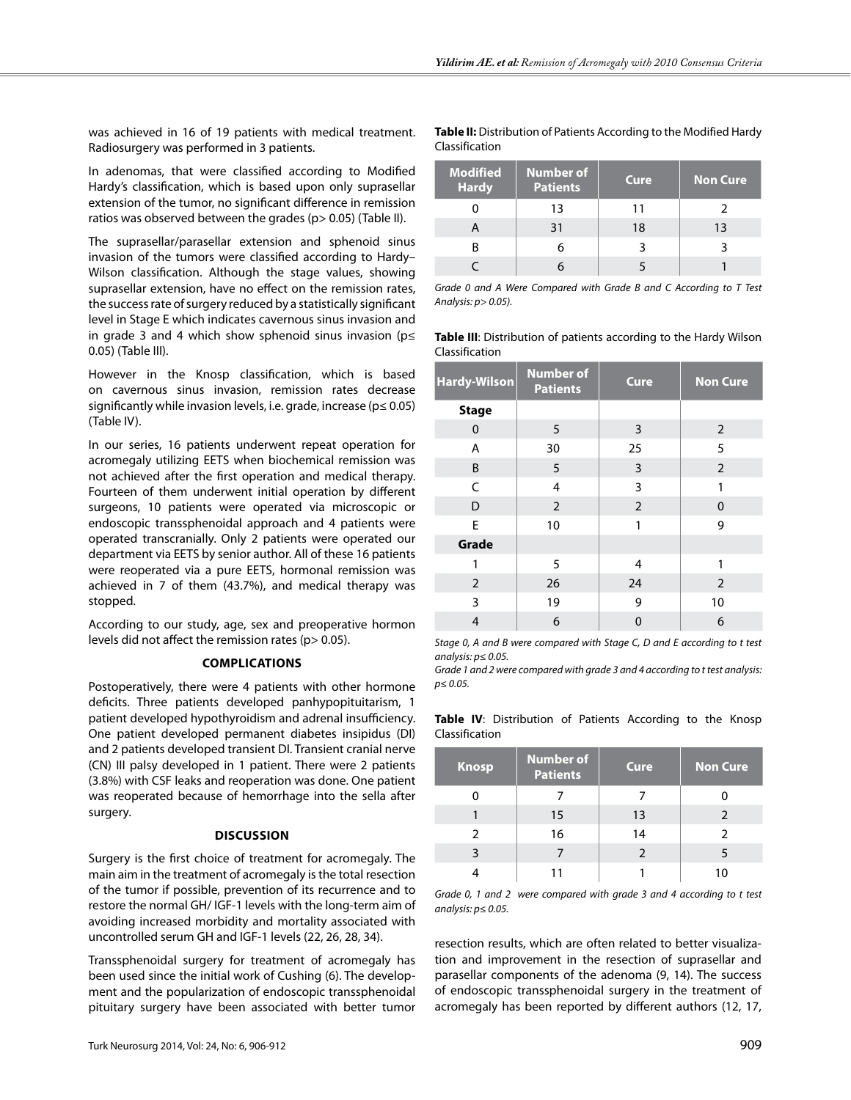was achieved in 16 of 19 patients with medical treatment. Radiosurgery was performed in 3 patients.

In adenomas, that were classified according to Modified Hardy's classification, which is based upon only suprasellar extension of the tumor, no significant difference in remission ratios was observed between the grades (p> 0.05) (Table II).

The suprasellar/parasellar extension and sphenoid sinus invasion of the tumors were classified according to Hardy– Wilson classification. Although the stage values, showing suprasellar extension, have no effect on the remission rates, the success rate of surgery reduced by a statistically significant level in Stage E which indicates cavernous sinus invasion and in grade 3 and 4 which show sphenoid sinus invasion (p≤ 0.05) (Table III).

However in the Knosp classification, which is based on cavernous sinus invasion, remission rates decrease significantly while invasion levels, i.e. grade, increase ( $p \le 0.05$ ) (Table IV).

In our series, 16 patients underwent repeat operation for acromegaly utilizing EETS when biochemical remission was not achieved after the first operation and medical therapy. Fourteen of them underwent initial operation by different surgeons, 10 patients were operated via microscopic or endoscopic transsphenoidal approach and 4 patients were operated transcranially. Only 2 patients were operated our department via EETS by senior author. All of these 16 patients were reoperated via a pure EETS, hormonal remission was achieved in 7 of them (43.7%), and medical therapy was stopped.

According to our study, age, sex and preoperative hormon levels did not affect the remission rates (p> 0.05).

## **Complications**

Postoperatively, there were 4 patients with other hormone deficits. Three patients developed panhypopituitarism, 1 patient developed hypothyroidism and adrenal insufficiency. One patient developed permanent diabetes insipidus (DI) and 2 patients developed transient DI. Transient cranial nerve (CN) III palsy developed in 1 patient. There were 2 patients (3.8%) with CSF leaks and reoperation was done. One patient was reoperated because of hemorrhage into the sella after surgery.

#### **Discussion**

Surgery is the first choice of treatment for acromegaly. The main aim in the treatment of acromegaly is the total resection of the tumor if possible, prevention of its recurrence and to restore the normal GH/ IGF-1 levels with the long-term aim of avoiding increased morbidity and mortality associated with uncontrolled serum GH and IGF-1 levels (22, 26, 28, 34).

Transsphenoidal surgery for treatment of acromegaly has been used since the initial work of Cushing (6). The development and the popularization of endoscopic transsphenoidal pituitary surgery have been associated with better tumor

#### **Table II:** Distribution of Patients According to the Modified Hardy Classification

| <b>Modified</b><br><b>Hardy</b> | Number of<br><b>Patients</b> | <b>Cure</b> | <b>Non Cure</b> |
|---------------------------------|------------------------------|-------------|-----------------|
|                                 | 13                           | 11          |                 |
|                                 | 31                           | 18          | 13              |
|                                 |                              |             |                 |
|                                 |                              |             |                 |

*Grade 0 and A Were Compared with Grade B and C According to T Test Analysis: p> 0.05).*

**Table III**: Distribution of patients according to the Hardy Wilson Classification

| Hardy-Wilson   | <b>Number of</b><br><b>Patients</b> | Cure           | <b>Non Cure</b> |
|----------------|-------------------------------------|----------------|-----------------|
| <b>Stage</b>   |                                     |                |                 |
| $\mathbf 0$    | 5                                   | 3              | 2               |
| A              | 30                                  | 25             | 5               |
| B              | 5                                   | 3              | 2               |
| $\mathsf{C}$   | $\overline{4}$                      | 3              | 1               |
| D              | 2                                   | $\overline{2}$ | 0               |
| E              | 10                                  | 1              | 9               |
| Grade          |                                     |                |                 |
| 1              | 5                                   | 4              | 1               |
| 2              | 26                                  | 24             | $\overline{2}$  |
| 3              | 19                                  | 9              | 10              |
| $\overline{4}$ | 6                                   | 0              | 6               |

*Stage 0, A and B were compared with Stage C, D and E according to t test analysis: p≤ 0.05.*

*Grade 1 and 2 were compared with grade 3 and 4 according to t test analysis: p≤ 0.05.*

|                | Table IV: Distribution of Patients According to the Knosp |  |  |  |
|----------------|-----------------------------------------------------------|--|--|--|
| Classification |                                                           |  |  |  |

| <b>Knosp</b>  | <b>Number of</b><br><b>Patients</b> | Cure | <b>Non Cure</b> |
|---------------|-------------------------------------|------|-----------------|
|               |                                     |      |                 |
|               | 15                                  | 13   | $\mathcal{P}$   |
| $\mathcal{P}$ | 16                                  | 14   | $\mathcal{P}$   |
| ঽ             |                                     |      |                 |
|               |                                     |      | 10              |

*Grade 0, 1 and 2 were compared with grade 3 and 4 according to t test analysis: p≤ 0.05.*

resection results, which are often related to better visualization and improvement in the resection of suprasellar and parasellar components of the adenoma (9, 14). The success of endoscopic transsphenoidal surgery in the treatment of acromegaly has been reported by different authors (12, 17,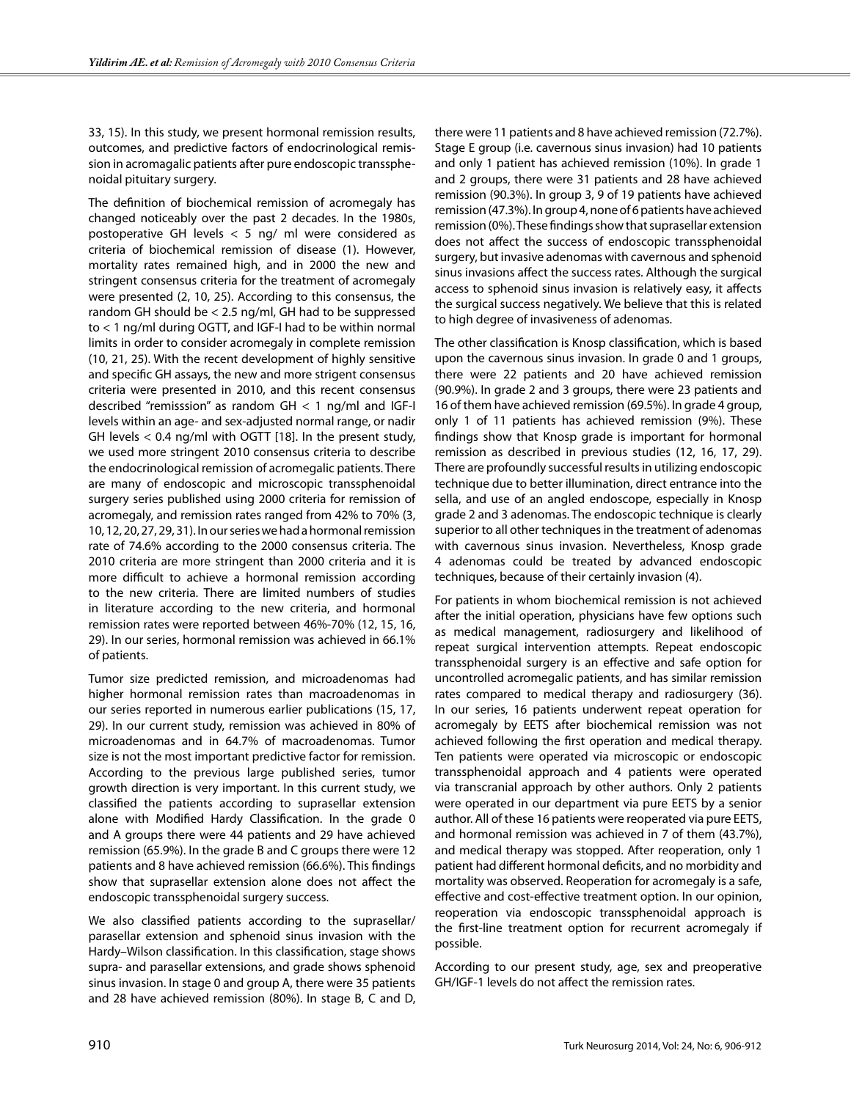33, 15). In this study, we present hormonal remission results, outcomes, and predictive factors of endocrinological remission in acromagalic patients after pure endoscopic transsphenoidal pituitary surgery.

The definition of biochemical remission of acromegaly has changed noticeably over the past 2 decades. In the 1980s, postoperative GH levels < 5 ng/ ml were considered as criteria of biochemical remission of disease (1). However, mortality rates remained high, and in 2000 the new and stringent consensus criteria for the treatment of acromegaly were presented (2, 10, 25). According to this consensus, the random GH should be < 2.5 ng/ml, GH had to be suppressed to < 1 ng/ml during OGTT, and IGF-I had to be within normal limits in order to consider acromegaly in complete remission (10, 21, 25). With the recent development of highly sensitive and specific GH assays, the new and more strigent consensus criteria were presented in 2010, and this recent consensus described "remisssion" as random GH < 1 ng/ml and IGF-I levels within an age- and sex-adjusted normal range, or nadir GH levels < 0.4 ng/ml with OGTT [18]. In the present study, we used more stringent 2010 consensus criteria to describe the endocrinological remission of acromegalic patients. There are many of endoscopic and microscopic transsphenoidal surgery series published using 2000 criteria for remission of acromegaly, and remission rates ranged from 42% to 70% (3, 10, 12, 20, 27, 29, 31). In our series we had a hormonal remission rate of 74.6% according to the 2000 consensus criteria. The 2010 criteria are more stringent than 2000 criteria and it is more difficult to achieve a hormonal remission according to the new criteria. There are limited numbers of studies in literature according to the new criteria, and hormonal remission rates were reported between 46%-70% (12, 15, 16, 29). In our series, hormonal remission was achieved in 66.1% of patients.

Tumor size predicted remission, and microadenomas had higher hormonal remission rates than macroadenomas in our series reported in numerous earlier publications (15, 17, 29). In our current study, remission was achieved in 80% of microadenomas and in 64.7% of macroadenomas. Tumor size is not the most important predictive factor for remission. According to the previous large published series, tumor growth direction is very important. In this current study, we classified the patients according to suprasellar extension alone with Modified Hardy Classification. In the grade 0 and A groups there were 44 patients and 29 have achieved remission (65.9%). In the grade B and C groups there were 12 patients and 8 have achieved remission (66.6%). This findings show that suprasellar extension alone does not affect the endoscopic transsphenoidal surgery success.

We also classified patients according to the suprasellar/ parasellar extension and sphenoid sinus invasion with the Hardy–Wilson classification. In this classification, stage shows supra- and parasellar extensions, and grade shows sphenoid sinus invasion. In stage 0 and group A, there were 35 patients and 28 have achieved remission (80%). In stage B, C and D, there were 11 patients and 8 have achieved remission (72.7%). Stage E group (i.e. cavernous sinus invasion) had 10 patients and only 1 patient has achieved remission (10%). In grade 1 and 2 groups, there were 31 patients and 28 have achieved remission (90.3%). In group 3, 9 of 19 patients have achieved remission (47.3%). In group 4, none of 6 patients have achieved remission (0%). These findings show that suprasellar extension does not affect the success of endoscopic transsphenoidal surgery, but invasive adenomas with cavernous and sphenoid sinus invasions affect the success rates. Although the surgical access to sphenoid sinus invasion is relatively easy, it affects the surgical success negatively. We believe that this is related to high degree of invasiveness of adenomas.

The other classification is Knosp classification, which is based upon the cavernous sinus invasion. In grade 0 and 1 groups, there were 22 patients and 20 have achieved remission (90.9%). In grade 2 and 3 groups, there were 23 patients and 16 of them have achieved remission (69.5%). In grade 4 group, only 1 of 11 patients has achieved remission (9%). These findings show that Knosp grade is important for hormonal remission as described in previous studies (12, 16, 17, 29). There are profoundly successful results in utilizing endoscopic technique due to better illumination, direct entrance into the sella, and use of an angled endoscope, especially in Knosp grade 2 and 3 adenomas. The endoscopic technique is clearly superior to all other techniques in the treatment of adenomas with cavernous sinus invasion. Nevertheless, Knosp grade 4 adenomas could be treated by advanced endoscopic techniques, because of their certainly invasion (4).

For patients in whom biochemical remission is not achieved after the initial operation, physicians have few options such as medical management, radiosurgery and likelihood of repeat surgical intervention attempts. Repeat endoscopic transsphenoidal surgery is an effective and safe option for uncontrolled acromegalic patients, and has similar remission rates compared to medical therapy and radiosurgery (36). In our series, 16 patients underwent repeat operation for acromegaly by EETS after biochemical remission was not achieved following the first operation and medical therapy. Ten patients were operated via microscopic or endoscopic transsphenoidal approach and 4 patients were operated via transcranial approach by other authors. Only 2 patients were operated in our department via pure EETS by a senior author. All of these 16 patients were reoperated via pure EETS, and hormonal remission was achieved in 7 of them (43.7%), and medical therapy was stopped. After reoperation, only 1 patient had different hormonal deficits, and no morbidity and mortality was observed. Reoperation for acromegaly is a safe, effective and cost-effective treatment option. In our opinion, reoperation via endoscopic transsphenoidal approach is the first-line treatment option for recurrent acromegaly if possible.

According to our present study, age, sex and preoperative GH/IGF-1 levels do not affect the remission rates.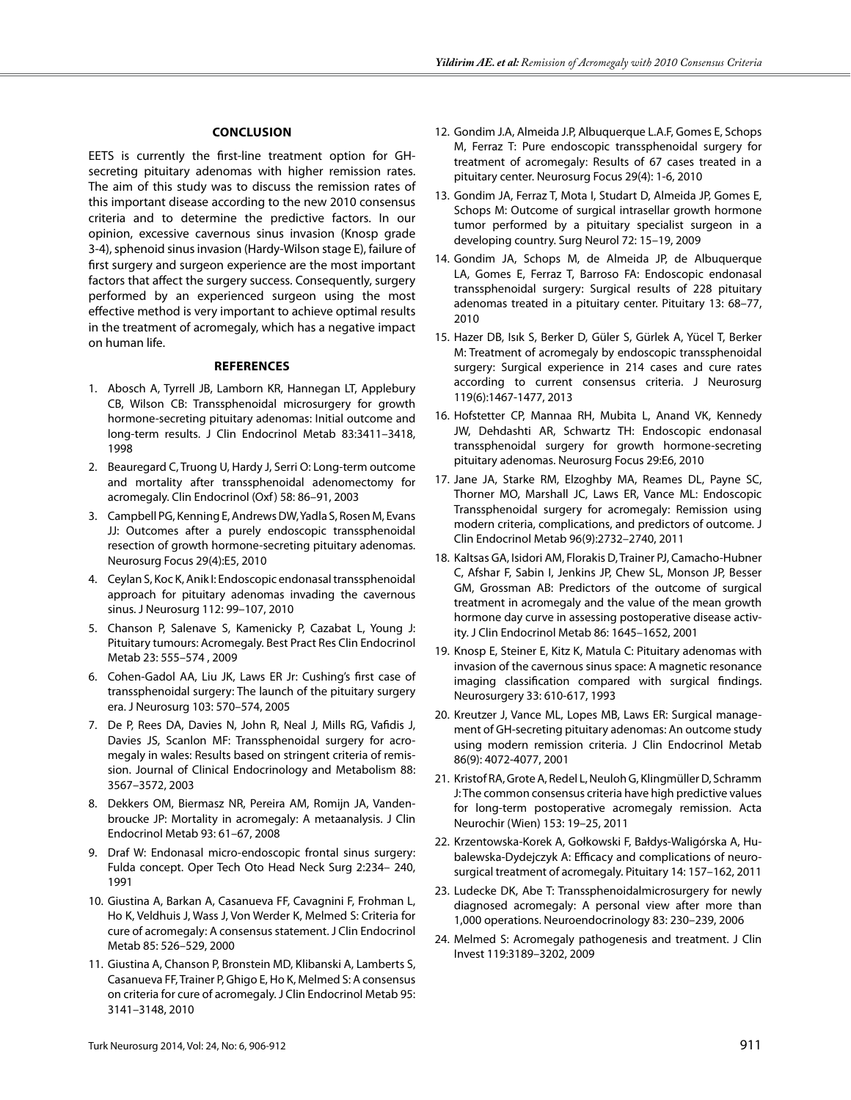## **Conclusion**

EETS is currently the first-line treatment option for GHsecreting pituitary adenomas with higher remission rates. The aim of this study was to discuss the remission rates of this important disease according to the new 2010 consensus criteria and to determine the predictive factors. In our opinion, excessive cavernous sinus invasion (Knosp grade 3-4), sphenoid sinus invasion (Hardy-Wilson stage E), failure of first surgery and surgeon experience are the most important factors that affect the surgery success. Consequently, surgery performed by an experienced surgeon using the most effective method is very important to achieve optimal results in the treatment of acromegaly, which has a negative impact on human life.

#### **References**

- 1. Abosch A, Tyrrell JB, Lamborn KR, Hannegan LT, Applebury CB, Wilson CB: Transsphenoidal microsurgery for growth hormone-secreting pituitary adenomas: Initial outcome and long-term results. J Clin Endocrinol Metab 83:3411–3418, 1998
- 2. Beauregard C, Truong U, Hardy J, Serri O: Long-term outcome and mortality after transsphenoidal adenomectomy for acromegaly. Clin Endocrinol (Oxf) 58: 86–91, 2003
- 3. Campbell PG, Kenning E, Andrews DW, Yadla S, Rosen M, Evans JJ: Outcomes after a purely endoscopic transsphenoidal resection of growth hormone-secreting pituitary adenomas. Neurosurg Focus 29(4):E5, 2010
- 4. Ceylan S, Koc K, Anik I: Endoscopic endonasal transsphenoidal approach for pituitary adenomas invading the cavernous sinus. J Neurosurg 112: 99–107, 2010
- 5. Chanson P, Salenave S, Kamenicky P, Cazabat L, Young J: Pituitary tumours: Acromegaly. Best Pract Res Clin Endocrinol Metab 23: 555–574 , 2009
- 6. Cohen-Gadol AA, Liu JK, Laws ER Jr: Cushing's first case of transsphenoidal surgery: The launch of the pituitary surgery era. J Neurosurg 103: 570–574, 2005
- 7. De P, Rees DA, Davies N, John R, Neal J, Mills RG, Vafidis J, Davies JS, Scanlon MF: Transsphenoidal surgery for acromegaly in wales: Results based on stringent criteria of remission. Journal of Clinical Endocrinology and Metabolism 88: 3567–3572, 2003
- 8. Dekkers OM, Biermasz NR, Pereira AM, Romijn JA, Vandenbroucke JP: Mortality in acromegaly: A metaanalysis. J Clin Endocrinol Metab 93: 61–67, 2008
- 9. Draf W: Endonasal micro-endoscopic frontal sinus surgery: Fulda concept. Oper Tech Oto Head Neck Surg 2:234– 240, 1991
- 10. Giustina A, Barkan A, Casanueva FF, Cavagnini F, Frohman L, Ho K, Veldhuis J, Wass J, Von Werder K, Melmed S: Criteria for cure of acromegaly: A consensus statement. J Clin Endocrinol Metab 85: 526–529, 2000
- 11. Giustina A, Chanson P, Bronstein MD, Klibanski A, Lamberts S, Casanueva FF, Trainer P, Ghigo E, Ho K, Melmed S: A consensus on criteria for cure of acromegaly. J Clin Endocrinol Metab 95: 3141–3148, 2010
- 12. Gondim J.A, Almeida J.P, Albuquerque L.A.F, Gomes E, Schops M, Ferraz T: Pure endoscopic transsphenoidal surgery for treatment of acromegaly: Results of 67 cases treated in a pituitary center. Neurosurg Focus 29(4): 1-6, 2010
- 13. Gondim JA, Ferraz T, Mota I, Studart D, Almeida JP, Gomes E, Schops M: Outcome of surgical intrasellar growth hormone tumor performed by a pituitary specialist surgeon in a developing country. Surg Neurol 72: 15–19, 2009
- 14. Gondim JA, Schops M, de Almeida JP, de Albuquerque LA, Gomes E, Ferraz T, Barroso FA: Endoscopic endonasal transsphenoidal surgery: Surgical results of 228 pituitary adenomas treated in a pituitary center. Pituitary 13: 68–77, 2010
- 15. Hazer DB, Isık S, Berker D, Güler S, Gürlek A, Yücel T, Berker M: Treatment of acromegaly by endoscopic transsphenoidal surgery: Surgical experience in 214 cases and cure rates according to current consensus criteria. J Neurosurg 119(6):1467-1477, 2013
- 16. Hofstetter CP, Mannaa RH, Mubita L, Anand VK, Kennedy JW, Dehdashti AR, Schwartz TH: Endoscopic endonasal transsphenoidal surgery for growth hormone-secreting pituitary adenomas. Neurosurg Focus 29:E6, 2010
- 17. Jane JA, Starke RM, Elzoghby MA, Reames DL, Payne SC, Thorner MO, Marshall JC, Laws ER, Vance ML: Endoscopic Transsphenoidal surgery for acromegaly: Remission using modern criteria, complications, and predictors of outcome. J Clin Endocrinol Metab 96(9):2732–2740, 2011
- 18. Kaltsas GA, Isidori AM, Florakis D, Trainer PJ, Camacho-Hubner C, Afshar F, Sabin I, Jenkins JP, Chew SL, Monson JP, Besser GM, Grossman AB: Predictors of the outcome of surgical treatment in acromegaly and the value of the mean growth hormone day curve in assessing postoperative disease activity. J Clin Endocrinol Metab 86: 1645–1652, 2001
- 19. Knosp E, Steiner E, Kitz K, Matula C: Pituitary adenomas with invasion of the cavernous sinus space: A magnetic resonance imaging classification compared with surgical findings. Neurosurgery 33: 610-617, 1993
- 20. Kreutzer J, Vance ML, Lopes MB, Laws ER: Surgical management of GH-secreting pituitary adenomas: An outcome study using modern remission criteria. J Clin Endocrinol Metab 86(9): 4072-4077, 2001
- 21. Kristof RA, Grote A, Redel L, Neuloh G, Klingmüller D, Schramm J: The common consensus criteria have high predictive values for long-term postoperative acromegaly remission. Acta Neurochir (Wien) 153: 19–25, 2011
- 22. Krzentowska-Korek A, Gołkowski F, Bałdys-Waligórska A, Hubalewska-Dydejczyk A: Efficacy and complications of neurosurgical treatment of acromegaly. Pituitary 14: 157–162, 2011
- 23. Ludecke DK, Abe T: Transsphenoidalmicrosurgery for newly diagnosed acromegaly: A personal view after more than 1,000 operations. Neuroendocrinology 83: 230–239, 2006
- 24. Melmed S: Acromegaly pathogenesis and treatment. J Clin Invest 119:3189–3202, 2009